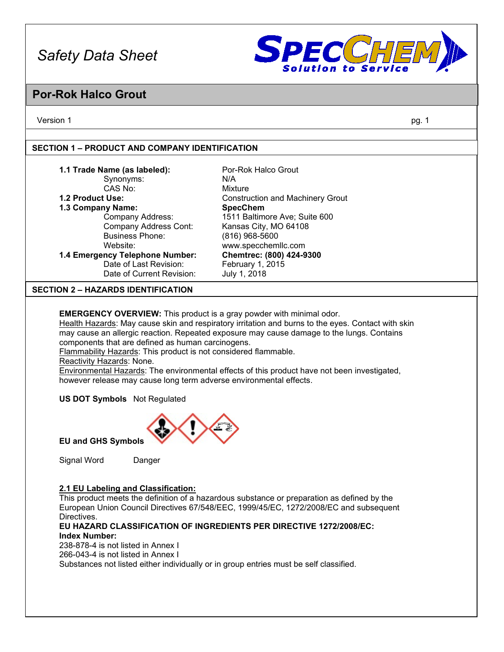

### **Por-Rok Halco Grout**

Version 1 pg. 1

### **SECTION 1 – PRODUCT AND COMPANY IDENTIFICATION**

| Synonyms:                                 | N/A                                     |
|-------------------------------------------|-----------------------------------------|
| CAS No:                                   | Mixture                                 |
| 1.2 Product Use:                          | <b>Construction and Machinery Grout</b> |
| 1.3 Company Name:                         | <b>SpecChem</b>                         |
| Company Address:                          | 1511 Baltimore Ave; Suite 600           |
| Company Address Cont:                     | Kansas City, MO 64108                   |
| <b>Business Phone:</b>                    | (816) 968-5600                          |
| Website:                                  | www.specchemllc.com                     |
| 1.4 Emergency Telephone Number:           | Chemtrec: (800) 424-9300                |
| Date of Last Revision:                    | February 1, 2015                        |
| Date of Current Revision:                 | July 1, 2018                            |
| <b>SECTION 2 - HAZARDS IDENTIFICATION</b> |                                         |

**EMERGENCY OVERVIEW:** This product is a gray powder with minimal odor.

Health Hazards: May cause skin and respiratory irritation and burns to the eyes. Contact with skin may cause an allergic reaction. Repeated exposure may cause damage to the lungs. Contains components that are defined as human carcinogens.

Flammability Hazards: This product is not considered flammable.

Reactivity Hazards: None.

Environmental Hazards: The environmental effects of this product have not been investigated, however release may cause long term adverse environmental effects.

**US DOT Symbols** Not Regulated



**EU and GHS Symbols**

Signal Word Danger

#### **2.1 EU Labeling and Classification:**

This product meets the definition of a hazardous substance or preparation as defined by the European Union Council Directives 67/548/EEC, 1999/45/EC, 1272/2008/EC and subsequent Directives.

### **EU HAZARD CLASSIFICATION OF INGREDIENTS PER DIRECTIVE 1272/2008/EC: Index Number:**

238-878-4 is not listed in Annex I 266-043-4 is not listed in Annex I Substances not listed either individually or in group entries must be self classified.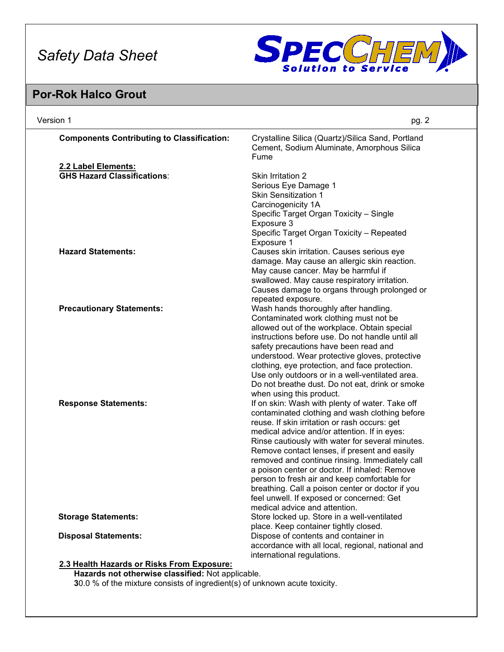

## **Por-Rok Halco Grout**

| Version 1                                                                                      | pg. 2                                                                                                   |
|------------------------------------------------------------------------------------------------|---------------------------------------------------------------------------------------------------------|
| <b>Components Contributing to Classification:</b>                                              | Crystalline Silica (Quartz)/Silica Sand, Portland<br>Cement, Sodium Aluminate, Amorphous Silica<br>Fume |
| 2.2 Label Elements:                                                                            |                                                                                                         |
| <b>GHS Hazard Classifications:</b>                                                             | <b>Skin Irritation 2</b>                                                                                |
|                                                                                                | Serious Eye Damage 1                                                                                    |
|                                                                                                | <b>Skin Sensitization 1</b>                                                                             |
|                                                                                                | Carcinogenicity 1A                                                                                      |
|                                                                                                | Specific Target Organ Toxicity - Single                                                                 |
|                                                                                                | Exposure 3                                                                                              |
|                                                                                                | Specific Target Organ Toxicity - Repeated                                                               |
|                                                                                                | Exposure 1                                                                                              |
| <b>Hazard Statements:</b>                                                                      | Causes skin irritation. Causes serious eye                                                              |
|                                                                                                | damage. May cause an allergic skin reaction.                                                            |
|                                                                                                | May cause cancer. May be harmful if                                                                     |
|                                                                                                | swallowed. May cause respiratory irritation.                                                            |
|                                                                                                | Causes damage to organs through prolonged or                                                            |
|                                                                                                | repeated exposure.                                                                                      |
| <b>Precautionary Statements:</b>                                                               | Wash hands thoroughly after handling.                                                                   |
|                                                                                                | Contaminated work clothing must not be                                                                  |
|                                                                                                | allowed out of the workplace. Obtain special                                                            |
|                                                                                                | instructions before use. Do not handle until all                                                        |
|                                                                                                | safety precautions have been read and                                                                   |
|                                                                                                | understood. Wear protective gloves, protective                                                          |
|                                                                                                | clothing, eye protection, and face protection.                                                          |
|                                                                                                | Use only outdoors or in a well-ventilated area.                                                         |
|                                                                                                | Do not breathe dust. Do not eat, drink or smoke                                                         |
|                                                                                                | when using this product.                                                                                |
| <b>Response Statements:</b>                                                                    | If on skin: Wash with plenty of water. Take off                                                         |
|                                                                                                | contaminated clothing and wash clothing before                                                          |
|                                                                                                | reuse. If skin irritation or rash occurs: get                                                           |
|                                                                                                | medical advice and/or attention. If in eyes:                                                            |
|                                                                                                | Rinse cautiously with water for several minutes.                                                        |
|                                                                                                | Remove contact lenses, if present and easily                                                            |
|                                                                                                | removed and continue rinsing. Immediately call                                                          |
|                                                                                                | a poison center or doctor. If inhaled: Remove                                                           |
|                                                                                                | person to fresh air and keep comfortable for                                                            |
|                                                                                                | breathing. Call a poison center or doctor if you                                                        |
|                                                                                                | feel unwell. If exposed or concerned: Get                                                               |
|                                                                                                | medical advice and attention.                                                                           |
| <b>Storage Statements:</b>                                                                     | Store locked up. Store in a well-ventilated                                                             |
|                                                                                                | place. Keep container tightly closed.                                                                   |
| <b>Disposal Statements:</b>                                                                    | Dispose of contents and container in                                                                    |
|                                                                                                | accordance with all local, regional, national and                                                       |
|                                                                                                | international regulations.                                                                              |
| 2.3 Health Hazards or Risks From Exposure:<br>Hereude net ethemusee elegeified: Net ennlischlo |                                                                                                         |

**Hazards not otherwise classified:** Not applicable.

**3**0.0 % of the mixture consists of ingredient(s) of unknown acute toxicity.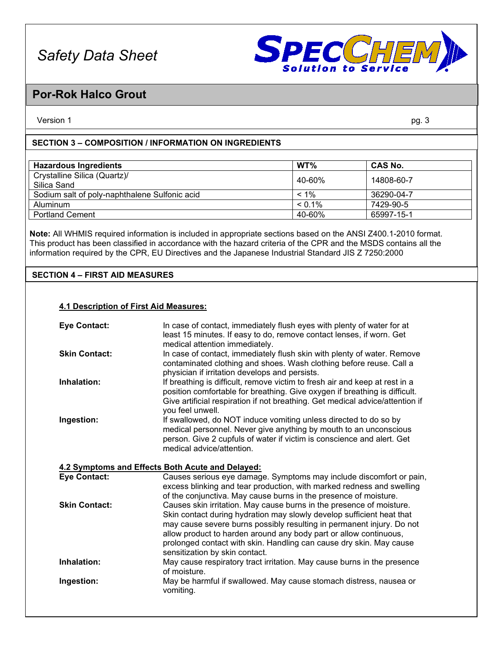

### **Por-Rok Halco Grout**

Version 1 pg. 3

### **SECTION 3 – COMPOSITION / INFORMATION ON INGREDIENTS**

| <b>Hazardous Ingredients</b>                  | WT%       | <b>CAS No.</b> |
|-----------------------------------------------|-----------|----------------|
| Crystalline Silica (Quartz)/<br>Silica Sand   | 40-60%    | 14808-60-7     |
| Sodium salt of poly-naphthalene Sulfonic acid | $< 1\%$   | 36290-04-7     |
| Aluminum                                      | $< 0.1\%$ | 7429-90-5      |
| <b>Portland Cement</b>                        | 40-60%    | 65997-15-1     |

**Note:** All WHMIS required information is included in appropriate sections based on the ANSI Z400.1-2010 format. This product has been classified in accordance with the hazard criteria of the CPR and the MSDS contains all the information required by the CPR, EU Directives and the Japanese Industrial Standard JIS Z 7250:2000

### **SECTION 4 – FIRST AID MEASURES**

#### **4.1 Description of First Aid Measures:**

| <b>Eye Contact:</b>  | In case of contact, immediately flush eyes with plenty of water for at<br>least 15 minutes. If easy to do, remove contact lenses, if worn. Get<br>medical attention immediately.                                                                                                                                                                                                                     |
|----------------------|------------------------------------------------------------------------------------------------------------------------------------------------------------------------------------------------------------------------------------------------------------------------------------------------------------------------------------------------------------------------------------------------------|
| <b>Skin Contact:</b> | In case of contact, immediately flush skin with plenty of water. Remove<br>contaminated clothing and shoes. Wash clothing before reuse. Call a<br>physician if irritation develops and persists.                                                                                                                                                                                                     |
| Inhalation:          | If breathing is difficult, remove victim to fresh air and keep at rest in a<br>position comfortable for breathing. Give oxygen if breathing is difficult.<br>Give artificial respiration if not breathing. Get medical advice/attention if<br>you feel unwell.                                                                                                                                       |
| Ingestion:           | If swallowed, do NOT induce vomiting unless directed to do so by<br>medical personnel. Never give anything by mouth to an unconscious<br>person. Give 2 cupfuls of water if victim is conscience and alert. Get<br>medical advice/attention.                                                                                                                                                         |
|                      | 4.2 Symptoms and Effects Both Acute and Delayed:                                                                                                                                                                                                                                                                                                                                                     |
| <b>Eye Contact:</b>  | Causes serious eye damage. Symptoms may include discomfort or pain,<br>excess blinking and tear production, with marked redness and swelling<br>of the conjunctiva. May cause burns in the presence of moisture.                                                                                                                                                                                     |
| <b>Skin Contact:</b> | Causes skin irritation. May cause burns in the presence of moisture.<br>Skin contact during hydration may slowly develop sufficient heat that<br>may cause severe burns possibly resulting in permanent injury. Do not<br>allow product to harden around any body part or allow continuous,<br>prolonged contact with skin. Handling can cause dry skin. May cause<br>sensitization by skin contact. |
| Inhalation:          | May cause respiratory tract irritation. May cause burns in the presence<br>of moisture.                                                                                                                                                                                                                                                                                                              |
| Ingestion:           | May be harmful if swallowed. May cause stomach distress, nausea or                                                                                                                                                                                                                                                                                                                                   |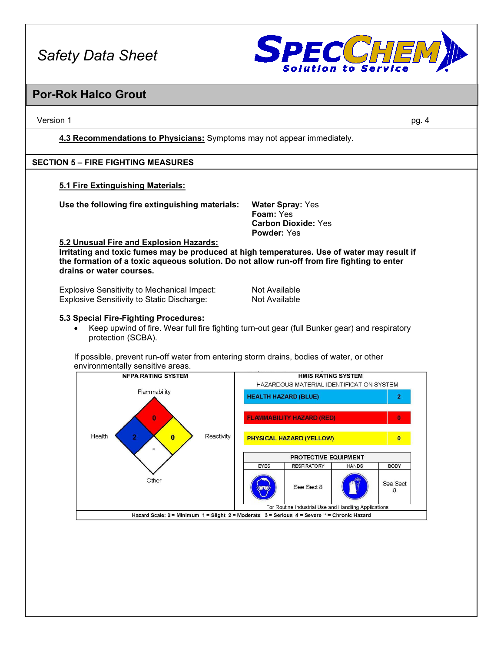

### **Por-Rok Halco Grout**

Version 1 pg. 4 **4.3 Recommendations to Physicians:** Symptoms may not appear immediately. **5.1 Fire Extinguishing Materials: Use the following fire extinguishing materials: Water Spray:** Yes **Foam:** Yes **Carbon Dioxide:** Yes **Powder:** Yes **5.2 Unusual Fire and Explosion Hazards: Irritating and toxic fumes may be produced at high temperatures. Use of water may result if the formation of a toxic aqueous solution. Do not allow run-off from fire fighting to enter drains or water courses.** Explosive Sensitivity to Mechanical Impact: Not Available<br>
Explosive Sensitivity to Static Discharge: Not Available Explosive Sensitivity to Static Discharge: **5.3 Special Fire-Fighting Procedures:**  • Keep upwind of fire. Wear full fire fighting turn-out gear (full Bunker gear) and respiratory protection (SCBA). If possible, prevent run-off water from entering storm drains, bodies of water, or other **SECTION 5 – FIRE FIGHTING MEASURES**

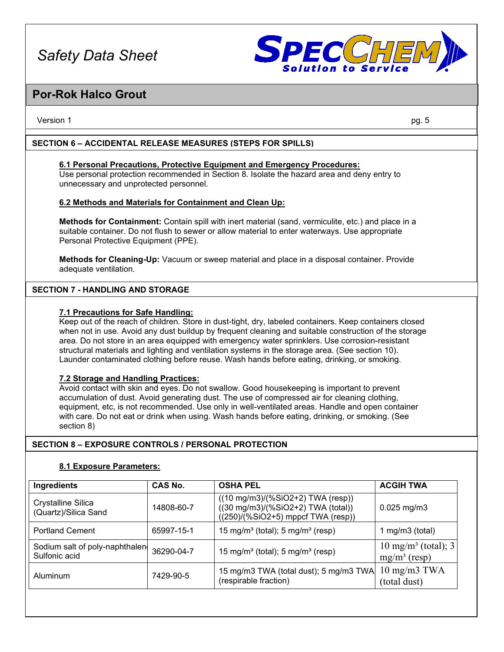

### **Por-Rok Halco Grout**

Version 1 pg. 5

### **SECTION 6 – ACCIDENTAL RELEASE MEASURES (STEPS FOR SPILLS)**

**6.1 Personal Precautions, Protective Equipment and Emergency Procedures:** Use personal protection recommended in Section 8. Isolate the hazard area and deny entry to unnecessary and unprotected personnel.

### **6.2 Methods and Materials for Containment and Clean Up:**

**Methods for Containment:** Contain spill with inert material (sand, vermiculite, etc.) and place in a suitable container. Do not flush to sewer or allow material to enter waterways. Use appropriate Personal Protective Equipment (PPE).

**Methods for Cleaning-Up:** Vacuum or sweep material and place in a disposal container. Provide adequate ventilation.

#### **SECTION 7 - HANDLING AND STORAGE**

#### **7.1 Precautions for Safe Handling:**

Keep out of the reach of children. Store in dust-tight, dry, labeled containers. Keep containers closed when not in use. Avoid any dust buildup by frequent cleaning and suitable construction of the storage area. Do not store in an area equipped with emergency water sprinklers. Use corrosion-resistant structural materials and lighting and ventilation systems in the storage area. (See section 10). Launder contaminated clothing before reuse. Wash hands before eating, drinking, or smoking.

#### **7.2 Storage and Handling Practices:**

Avoid contact with skin and eyes. Do not swallow. Good housekeeping is important to prevent accumulation of dust. Avoid generating dust. The use of compressed air for cleaning clothing, equipment, etc, is not recommended. Use only in well-ventilated areas. Handle and open container with care. Do not eat or drink when using. Wash hands before eating, drinking, or smoking. (See section 8)

### **SECTION 8 – EXPOSURE CONTROLS / PERSONAL PROTECTION**

### **8.1 Exposure Parameters:**

| Ingredients                                     | <b>CAS No.</b> | <b>OSHA PEL</b>                                                                                                                     | <b>ACGIH TWA</b>                                  |
|-------------------------------------------------|----------------|-------------------------------------------------------------------------------------------------------------------------------------|---------------------------------------------------|
| Crystalline Silica<br>(Quartz)/Silica Sand      | 14808-60-7     | $((10 \text{ mg/m3})/(%SiO2+2)$ TWA (resp))<br>$((30 \text{ mg/m3})/(%SiO2+2)$ TWA (total))<br>$((250)/(%SiO2+5)$ mppcf TWA (resp)) | $0.025$ mg/m3                                     |
| <b>Portland Cement</b>                          | 65997-15-1     | 15 mg/m <sup>3</sup> (total); 5 mg/m <sup>3</sup> (resp)                                                                            | 1 mg/m $3$ (total)                                |
| Sodium salt of poly-naphthalen<br>Sulfonic acid | 36290-04-7     | 15 mg/m <sup>3</sup> (total); 5 mg/m <sup>3</sup> (resp)                                                                            | $10 \text{ mg/m}^3$ (total); 3<br>$mg/m^3$ (resp) |
| Aluminum                                        | 7429-90-5      | 15 mg/m3 TWA (total dust); 5 mg/m3 TWA<br>(respirable fraction)                                                                     | $10 \text{ mg/m}$ $3 \text{ TWA}$<br>(total dust) |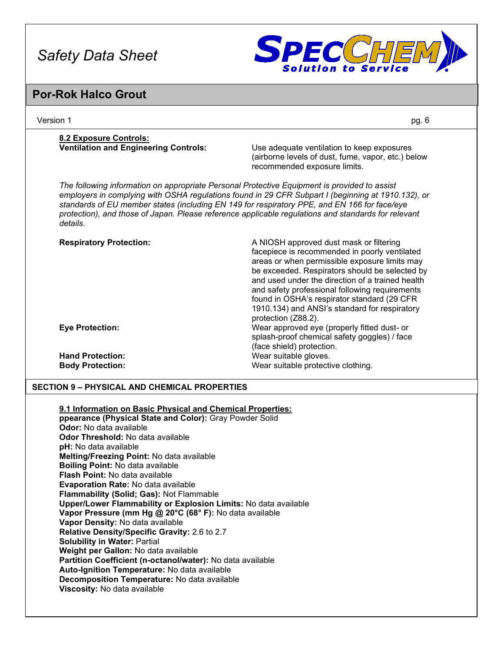

## **Por-Rok Halco Grout**

| Version 1                                                                                                                                                                                                                                                                                                                                                                                                                                                                                                                                                                                                                                                                                                                                                                                                                                                                                                                          | pg. 6                                                                                                                                                                                                                                                                                                                                                                                                                    |
|------------------------------------------------------------------------------------------------------------------------------------------------------------------------------------------------------------------------------------------------------------------------------------------------------------------------------------------------------------------------------------------------------------------------------------------------------------------------------------------------------------------------------------------------------------------------------------------------------------------------------------------------------------------------------------------------------------------------------------------------------------------------------------------------------------------------------------------------------------------------------------------------------------------------------------|--------------------------------------------------------------------------------------------------------------------------------------------------------------------------------------------------------------------------------------------------------------------------------------------------------------------------------------------------------------------------------------------------------------------------|
| 8.2 Exposure Controls:<br><b>Ventilation and Engineering Controls:</b>                                                                                                                                                                                                                                                                                                                                                                                                                                                                                                                                                                                                                                                                                                                                                                                                                                                             | Use adequate ventilation to keep exposures<br>(airborne levels of dust, fume, vapor, etc.) below<br>recommended exposure limits.                                                                                                                                                                                                                                                                                         |
| The following information on appropriate Personal Protective Equipment is provided to assist<br>employers in complying with OSHA regulations found in 29 CFR Subpart I (beginning at 1910.132), or<br>standards of EU member states (including EN 149 for respiratory PPE, and EN 166 for face/eye<br>protection), and those of Japan. Please reference applicable regulations and standards for relevant<br>details.                                                                                                                                                                                                                                                                                                                                                                                                                                                                                                              |                                                                                                                                                                                                                                                                                                                                                                                                                          |
| <b>Respiratory Protection:</b>                                                                                                                                                                                                                                                                                                                                                                                                                                                                                                                                                                                                                                                                                                                                                                                                                                                                                                     | A NIOSH approved dust mask or filtering<br>facepiece is recommended in poorly ventilated<br>areas or when permissible exposure limits may<br>be exceeded. Respirators should be selected by<br>and used under the direction of a trained health<br>and safety professional following requirements<br>found in OSHA's respirator standard (29 CFR<br>1910.134) and ANSI's standard for respiratory<br>protection (Z88.2). |
| <b>Eye Protection:</b>                                                                                                                                                                                                                                                                                                                                                                                                                                                                                                                                                                                                                                                                                                                                                                                                                                                                                                             | Wear approved eye (properly fitted dust- or<br>splash-proof chemical safety goggles) / face<br>(face shield) protection.                                                                                                                                                                                                                                                                                                 |
| <b>Hand Protection:</b><br><b>Body Protection:</b>                                                                                                                                                                                                                                                                                                                                                                                                                                                                                                                                                                                                                                                                                                                                                                                                                                                                                 | Wear suitable gloves.<br>Wear suitable protective clothing.                                                                                                                                                                                                                                                                                                                                                              |
| <b>SECTION 9 - PHYSICAL AND CHEMICAL PROPERTIES</b>                                                                                                                                                                                                                                                                                                                                                                                                                                                                                                                                                                                                                                                                                                                                                                                                                                                                                |                                                                                                                                                                                                                                                                                                                                                                                                                          |
| 9.1 Information on Basic Physical and Chemical Properties:<br>ppearance (Physical State and Color): Gray Powder Solid<br>Odor: No data available<br><b>Odor Threshold: No data available</b><br>pH: No data available<br>Melting/Freezing Point: No data available<br>Boiling Point: No data available<br><b>Flash Point:</b> No data available<br>Evaporation Rate: No data available<br>Flammability (Solid; Gas): Not Flammable<br>Upper/Lower Flammability or Explosion Limits: No data available<br>Vapor Pressure (mm Hg @ 20°C (68° F): No data available<br>Vapor Density: No data available<br>Relative Density/Specific Gravity: 2.6 to 2.7<br><b>Solubility in Water: Partial</b><br>Weight per Gallon: No data available<br>Partition Coefficient (n-octanol/water): No data available<br>Auto-Ignition Temperature: No data available<br>Decomposition Temperature: No data available<br>Viscosity: No data available |                                                                                                                                                                                                                                                                                                                                                                                                                          |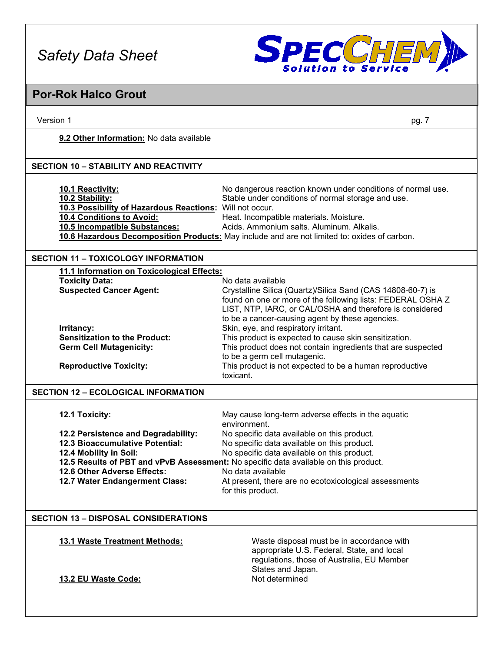

| <b>Por-Rok Halco Grout</b>                                                                                                                                               |                                                                                                                                                                                                                                                                                                                                      |
|--------------------------------------------------------------------------------------------------------------------------------------------------------------------------|--------------------------------------------------------------------------------------------------------------------------------------------------------------------------------------------------------------------------------------------------------------------------------------------------------------------------------------|
| Version 1                                                                                                                                                                | pg. 7                                                                                                                                                                                                                                                                                                                                |
| 9.2 Other Information: No data available                                                                                                                                 |                                                                                                                                                                                                                                                                                                                                      |
| <b>SECTION 10 - STABILITY AND REACTIVITY</b>                                                                                                                             |                                                                                                                                                                                                                                                                                                                                      |
| 10.1 Reactivity:<br>10.2 Stability:<br>10.3 Possibility of Hazardous Reactions: Will not occur.<br>10.4 Conditions to Avoid:<br>10.5 Incompatible Substances:            | No dangerous reaction known under conditions of normal use.<br>Stable under conditions of normal storage and use.<br>Heat. Incompatible materials. Moisture.<br>Acids. Ammonium salts. Aluminum. Alkalis.<br>10.6 Hazardous Decomposition Products: May include and are not limited to: oxides of carbon.                            |
| <b>SECTION 11 - TOXICOLOGY INFORMATION</b>                                                                                                                               |                                                                                                                                                                                                                                                                                                                                      |
| 11.1 Information on Toxicological Effects:<br><b>Toxicity Data:</b><br><b>Suspected Cancer Agent:</b>                                                                    | No data available<br>Crystalline Silica (Quartz)/Silica Sand (CAS 14808-60-7) is<br>found on one or more of the following lists: FEDERAL OSHA Z<br>LIST, NTP, IARC, or CAL/OSHA and therefore is considered<br>to be a cancer-causing agent by these agencies.                                                                       |
| Irritancy:<br><b>Sensitization to the Product:</b><br><b>Germ Cell Mutagenicity:</b><br><b>Reproductive Toxicity:</b>                                                    | Skin, eye, and respiratory irritant.<br>This product is expected to cause skin sensitization.<br>This product does not contain ingredients that are suspected<br>to be a germ cell mutagenic.<br>This product is not expected to be a human reproductive<br>toxicant.                                                                |
| <b>SECTION 12 - ECOLOGICAL INFORMATION</b>                                                                                                                               |                                                                                                                                                                                                                                                                                                                                      |
| 12.1 Toxicity:                                                                                                                                                           | May cause long-term adverse effects in the aquatic<br>environment.                                                                                                                                                                                                                                                                   |
| 12.2 Persistence and Degradability:<br>12.3 Bioaccumulative Potential:<br>12.4 Mobility in Soil:<br><b>12.6 Other Adverse Effects:</b><br>12.7 Water Endangerment Class: | No specific data available on this product.<br>No specific data available on this product.<br>No specific data available on this product.<br>12.5 Results of PBT and vPvB Assessment: No specific data available on this product.<br>No data available<br>At present, there are no ecotoxicological assessments<br>for this product. |
| <b>SECTION 13 - DISPOSAL CONSIDERATIONS</b>                                                                                                                              |                                                                                                                                                                                                                                                                                                                                      |
| 13.1 Waste Treatment Methods:<br>13.2 EU Waste Code:                                                                                                                     | Waste disposal must be in accordance with<br>appropriate U.S. Federal, State, and local<br>regulations, those of Australia, EU Member<br>States and Japan.<br>Not determined                                                                                                                                                         |
|                                                                                                                                                                          |                                                                                                                                                                                                                                                                                                                                      |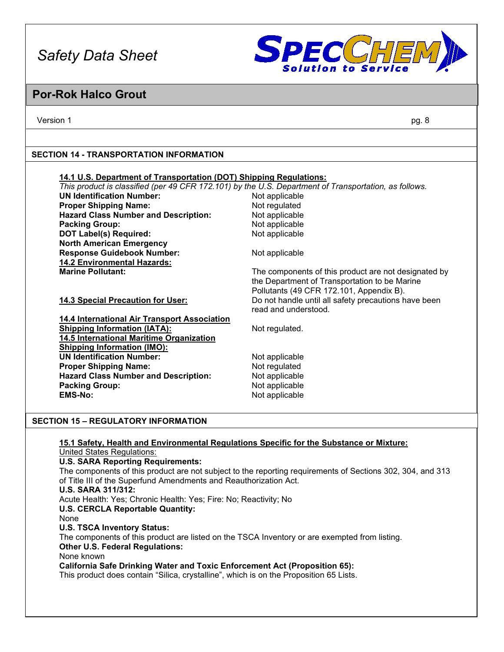

### **Por-Rok Halco Grout**

Version 1 pg. 8

### **SECTION 14 - TRANSPORTATION INFORMATION**

| 14.1 U.S. Department of Transportation (DOT) Shipping Regulations: |                                                                                                       |
|--------------------------------------------------------------------|-------------------------------------------------------------------------------------------------------|
|                                                                    | This product is classified (per 49 CFR 172.101) by the U.S. Department of Transportation, as follows. |
| <b>UN Identification Number:</b>                                   | Not applicable                                                                                        |
| <b>Proper Shipping Name:</b>                                       | Not regulated                                                                                         |
| <b>Hazard Class Number and Description:</b>                        | Not applicable                                                                                        |
| <b>Packing Group:</b>                                              | Not applicable                                                                                        |
| <b>DOT Label(s) Required:</b>                                      | Not applicable                                                                                        |
| <b>North American Emergency</b>                                    |                                                                                                       |
| <b>Response Guidebook Number:</b>                                  | Not applicable                                                                                        |
| <b>14.2 Environmental Hazards:</b>                                 |                                                                                                       |
| <b>Marine Pollutant:</b>                                           | The components of this product are not designated by                                                  |
|                                                                    | the Department of Transportation to be Marine                                                         |
|                                                                    | Pollutants (49 CFR 172.101, Appendix B).                                                              |
| <b>14.3 Special Precaution for User:</b>                           | Do not handle until all safety precautions have been                                                  |
|                                                                    | read and understood.                                                                                  |
| 14.4 International Air Transport Association                       |                                                                                                       |
| <b>Shipping Information (IATA):</b>                                | Not regulated.                                                                                        |
| 14.5 International Maritime Organization                           |                                                                                                       |
| <b>Shipping Information (IMO):</b>                                 |                                                                                                       |
| <b>UN Identification Number:</b>                                   | Not applicable                                                                                        |
| <b>Proper Shipping Name:</b>                                       | Not regulated                                                                                         |
| <b>Hazard Class Number and Description:</b>                        | Not applicable                                                                                        |

**EMS-No:** Not applicable

### **SECTION 15 – REGULATORY INFORMATION**

**Packing Group:** Not applicable

**15.1 Safety, Health and Environmental Regulations Specific for the Substance or Mixture:** United States Regulations: **U.S. SARA Reporting Requirements:** The components of this product are not subject to the reporting requirements of Sections 302, 304, and 313 of Title III of the Superfund Amendments and Reauthorization Act. **U.S. SARA 311/312:** Acute Health: Yes; Chronic Health: Yes; Fire: No; Reactivity; No **U.S. CERCLA Reportable Quantity:** None **U.S. TSCA Inventory Status:** The components of this product are listed on the TSCA Inventory or are exempted from listing. **Other U.S. Federal Regulations:** None known **California Safe Drinking Water and Toxic Enforcement Act (Proposition 65):** This product does contain "Silica, crystalline", which is on the Proposition 65 Lists.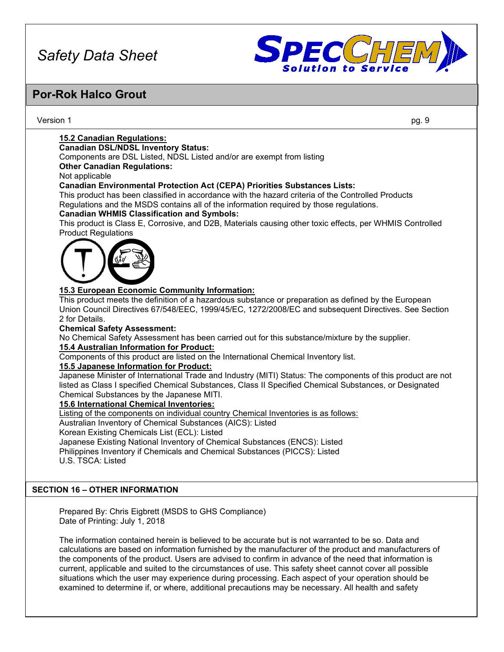

## **Por-Rok Halco Grout**

### Version 1 pg. 9

### **15.2 Canadian Regulations:**

### **Canadian DSL/NDSL Inventory Status:**

Components are DSL Listed, NDSL Listed and/or are exempt from listing

#### **Other Canadian Regulations:**

Not applicable

### **Canadian Environmental Protection Act (CEPA) Priorities Substances Lists:**

This product has been classified in accordance with the hazard criteria of the Controlled Products Regulations and the MSDS contains all of the information required by those regulations.

### **Canadian WHMIS Classification and Symbols:**

This product is Class E, Corrosive, and D2B, Materials causing other toxic effects, per WHMIS Controlled Product Regulations



### **15.3 European Economic Community Information:**

This product meets the definition of a hazardous substance or preparation as defined by the European Union Council Directives 67/548/EEC, 1999/45/EC, 1272/2008/EC and subsequent Directives. See Section 2 for Details.

### **Chemical Safety Assessment:**

No Chemical Safety Assessment has been carried out for this substance/mixture by the supplier.

### **15.4 Australian Information for Product:**

Components of this product are listed on the International Chemical Inventory list.

### **15.5 Japanese Information for Product:**

Japanese Minister of International Trade and Industry (MITI) Status: The components of this product are not listed as Class I specified Chemical Substances, Class II Specified Chemical Substances, or Designated Chemical Substances by the Japanese MITI.

### **15.6 International Chemical Inventories:**

Listing of the components on individual country Chemical Inventories is as follows: Australian Inventory of Chemical Substances (AICS): Listed

Korean Existing Chemicals List (ECL): Listed

Japanese Existing National Inventory of Chemical Substances (ENCS): Listed Philippines Inventory if Chemicals and Chemical Substances (PICCS): Listed

U.S. TSCA: Listed

### **SECTION 16 – OTHER INFORMATION**

Prepared By: Chris Eigbrett (MSDS to GHS Compliance) Date of Printing: July 1, 2018

The information contained herein is believed to be accurate but is not warranted to be so. Data and calculations are based on information furnished by the manufacturer of the product and manufacturers of the components of the product. Users are advised to confirm in advance of the need that information is current, applicable and suited to the circumstances of use. This safety sheet cannot cover all possible situations which the user may experience during processing. Each aspect of your operation should be examined to determine if, or where, additional precautions may be necessary. All health and safety